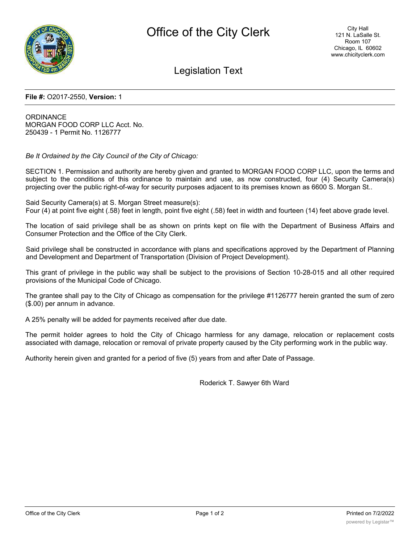

Legislation Text

## **File #:** O2017-2550, **Version:** 1

**ORDINANCE** MORGAN FOOD CORP LLC Acct. No. 250439 - 1 Permit No. 1126777

*Be It Ordained by the City Council of the City of Chicago:*

SECTION 1. Permission and authority are hereby given and granted to MORGAN FOOD CORP LLC, upon the terms and subject to the conditions of this ordinance to maintain and use, as now constructed, four (4) Security Camera(s) projecting over the public right-of-way for security purposes adjacent to its premises known as 6600 S. Morgan St..

Said Security Camera(s) at S. Morgan Street measure(s): Four (4) at point five eight (.58) feet in length, point five eight (.58) feet in width and fourteen (14) feet above grade level.

The location of said privilege shall be as shown on prints kept on file with the Department of Business Affairs and Consumer Protection and the Office of the City Clerk.

Said privilege shall be constructed in accordance with plans and specifications approved by the Department of Planning and Development and Department of Transportation (Division of Project Development).

This grant of privilege in the public way shall be subject to the provisions of Section 10-28-015 and all other required provisions of the Municipal Code of Chicago.

The grantee shall pay to the City of Chicago as compensation for the privilege #1126777 herein granted the sum of zero (\$.00) per annum in advance.

A 25% penalty will be added for payments received after due date.

The permit holder agrees to hold the City of Chicago harmless for any damage, relocation or replacement costs associated with damage, relocation or removal of private property caused by the City performing work in the public way.

Authority herein given and granted for a period of five (5) years from and after Date of Passage.

Roderick T. Sawyer 6th Ward